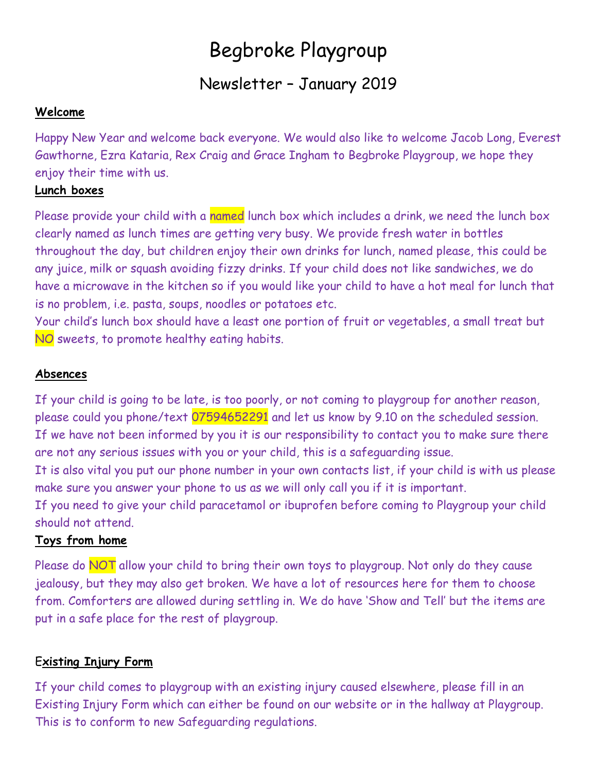# Begbroke Playgroup

# Newsletter – January 2019

#### **Welcome**

Happy New Year and welcome back everyone. We would also like to welcome Jacob Long, Everest Gawthorne, Ezra Kataria, Rex Craig and Grace Ingham to Begbroke Playgroup, we hope they enjoy their time with us.

### **Lunch boxes**

Please provide your child with a named lunch box which includes a drink, we need the lunch box clearly named as lunch times are getting very busy. We provide fresh water in bottles throughout the day, but children enjoy their own drinks for lunch, named please, this could be any juice, milk or squash avoiding fizzy drinks. If your child does not like sandwiches, we do have a microwave in the kitchen so if you would like your child to have a hot meal for lunch that is no problem, i.e. pasta, soups, noodles or potatoes etc.

Your child's lunch box should have a least one portion of fruit or vegetables, a small treat but NO sweets, to promote healthy eating habits.

#### **Absences**

If your child is going to be late, is too poorly, or not coming to playgroup for another reason, please could you phone/text 07594652291 and let us know by 9.10 on the scheduled session. If we have not been informed by you it is our responsibility to contact you to make sure there are not any serious issues with you or your child, this is a safeguarding issue. It is also vital you put our phone number in your own contacts list, if your child is with us please make sure you answer your phone to us as we will only call you if it is important. If you need to give your child paracetamol or ibuprofen before coming to Playgroup your child should not attend.

# **Toys from home**

Please do NOT allow your child to bring their own toys to playgroup. Not only do they cause jealousy, but they may also get broken. We have a lot of resources here for them to choose from. Comforters are allowed during settling in. We do have 'Show and Tell' but the items are put in a safe place for the rest of playgroup.

# E**xisting Injury Form**

If your child comes to playgroup with an existing injury caused elsewhere, please fill in an Existing Injury Form which can either be found on our website or in the hallway at Playgroup. This is to conform to new Safeguarding regulations.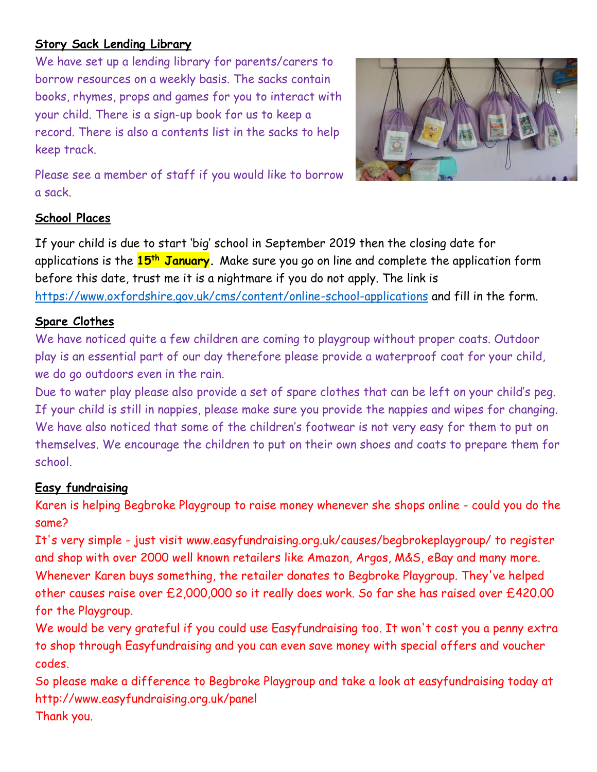### **Story Sack Lending Library**

We have set up a lending library for parents/carers to borrow resources on a weekly basis. The sacks contain books, rhymes, props and games for you to interact with your child. There is a sign-up book for us to keep a record. There is also a contents list in the sacks to help keep track.



Please see a member of staff if you would like to borrow a sack.

#### **School Places**

If your child is due to start 'big' school in September 2019 then the closing date for applications is the **15th January.** Make sure you go on line and complete the application form before this date, trust me it is a nightmare if you do not apply. The link is <https://www.oxfordshire.gov.uk/cms/content/online-school-applications> and fill in the form.

### **Spare Clothes**

We have noticed quite a few children are coming to playgroup without proper coats. Outdoor play is an essential part of our day therefore please provide a waterproof coat for your child, we do go outdoors even in the rain.

Due to water play please also provide a set of spare clothes that can be left on your child's peg. If your child is still in nappies, please make sure you provide the nappies and wipes for changing. We have also noticed that some of the children's footwear is not very easy for them to put on themselves. We encourage the children to put on their own shoes and coats to prepare them for school.

#### **Easy fundraising**

Karen is helping Begbroke Playgroup to raise money whenever she shops online - could you do the same?

It's very simple - just visit www.easyfundraising.org.uk/causes/begbrokeplaygroup/ to register and shop with over 2000 well known retailers like Amazon, Argos, M&S, eBay and many more. Whenever Karen buys something, the retailer donates to Begbroke Playgroup. They've helped other causes raise over £2,000,000 so it really does work. So far she has raised over £420.00 for the Playgroup.

We would be very grateful if you could use Easyfundraising too. It won't cost you a penny extra to shop through Easyfundraising and you can even save money with special offers and voucher codes.

So please make a difference to Begbroke Playgroup and take a look at easyfundraising today at http://www.easyfundraising.org.uk/panel Thank you.